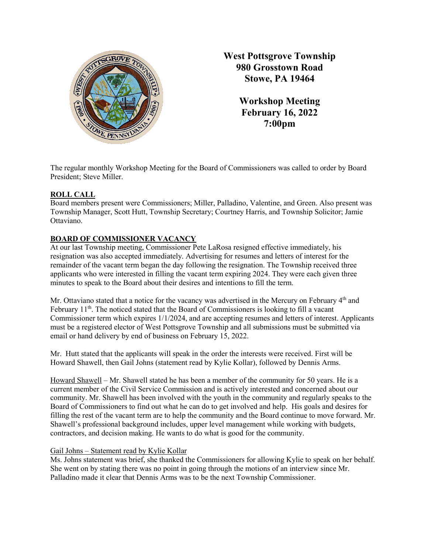

**West Pottsgrove Township 980 Grosstown Road Stowe, PA 19464**

> **Workshop Meeting February 16, 2022 7:00pm**

The regular monthly Workshop Meeting for the Board of Commissioners was called to order by Board President; Steve Miller.

## **ROLL CALL**

Board members present were Commissioners; Miller, Palladino, Valentine, and Green. Also present was Township Manager, Scott Hutt, Township Secretary; Courtney Harris, and Township Solicitor; Jamie Ottaviano.

# **BOARD OF COMMISSIONER VACANCY**

At our last Township meeting, Commissioner Pete LaRosa resigned effective immediately, his resignation was also accepted immediately. Advertising for resumes and letters of interest for the remainder of the vacant term began the day following the resignation. The Township received three applicants who were interested in filling the vacant term expiring 2024. They were each given three minutes to speak to the Board about their desires and intentions to fill the term.

Mr. Ottaviano stated that a notice for the vacancy was advertised in the Mercury on February 4<sup>th</sup> and February  $11<sup>th</sup>$ . The noticed stated that the Board of Commissioners is looking to fill a vacant Commissioner term which expires 1/1/2024, and are accepting resumes and letters of interest. Applicants must be a registered elector of West Pottsgrove Township and all submissions must be submitted via email or hand delivery by end of business on February 15, 2022.

Mr. Hutt stated that the applicants will speak in the order the interests were received. First will be Howard Shawell, then Gail Johns (statement read by Kylie Kollar), followed by Dennis Arms.

Howard Shawell – Mr. Shawell stated he has been a member of the community for 50 years. He is a current member of the Civil Service Commission and is actively interested and concerned about our community. Mr. Shawell has been involved with the youth in the community and regularly speaks to the Board of Commissioners to find out what he can do to get involved and help. His goals and desires for filling the rest of the vacant term are to help the community and the Board continue to move forward. Mr. Shawell's professional background includes, upper level management while working with budgets, contractors, and decision making. He wants to do what is good for the community.

## Gail Johns – Statement read by Kylie Kollar

Ms. Johns statement was brief, she thanked the Commissioners for allowing Kylie to speak on her behalf. She went on by stating there was no point in going through the motions of an interview since Mr. Palladino made it clear that Dennis Arms was to be the next Township Commissioner.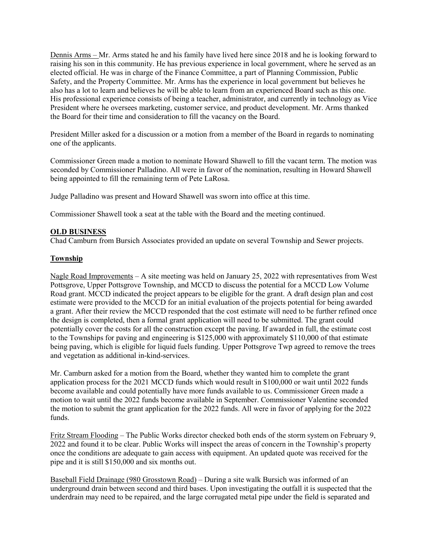Dennis Arms – Mr. Arms stated he and his family have lived here since 2018 and he is looking forward to raising his son in this community. He has previous experience in local government, where he served as an elected official. He was in charge of the Finance Committee, a part of Planning Commission, Public Safety, and the Property Committee. Mr. Arms has the experience in local government but believes he also has a lot to learn and believes he will be able to learn from an experienced Board such as this one. His professional experience consists of being a teacher, administrator, and currently in technology as Vice President where he oversees marketing, customer service, and product development. Mr. Arms thanked the Board for their time and consideration to fill the vacancy on the Board.

President Miller asked for a discussion or a motion from a member of the Board in regards to nominating one of the applicants.

Commissioner Green made a motion to nominate Howard Shawell to fill the vacant term. The motion was seconded by Commissioner Palladino. All were in favor of the nomination, resulting in Howard Shawell being appointed to fill the remaining term of Pete LaRosa.

Judge Palladino was present and Howard Shawell was sworn into office at this time.

Commissioner Shawell took a seat at the table with the Board and the meeting continued.

#### **OLD BUSINESS**

Chad Camburn from Bursich Associates provided an update on several Township and Sewer projects.

#### **Township**

Nagle Road Improvements – A site meeting was held on January 25, 2022 with representatives from West Pottsgrove, Upper Pottsgrove Township, and MCCD to discuss the potential for a MCCD Low Volume Road grant. MCCD indicated the project appears to be eligible for the grant. A draft design plan and cost estimate were provided to the MCCD for an initial evaluation of the projects potential for being awarded a grant. After their review the MCCD responded that the cost estimate will need to be further refined once the design is completed, then a formal grant application will need to be submitted. The grant could potentially cover the costs for all the construction except the paving. If awarded in full, the estimate cost to the Townships for paving and engineering is \$125,000 with approximately \$110,000 of that estimate being paving, which is eligible for liquid fuels funding. Upper Pottsgrove Twp agreed to remove the trees and vegetation as additional in-kind-services.

Mr. Camburn asked for a motion from the Board, whether they wanted him to complete the grant application process for the 2021 MCCD funds which would result in \$100,000 or wait until 2022 funds become available and could potentially have more funds available to us. Commissioner Green made a motion to wait until the 2022 funds become available in September. Commissioner Valentine seconded the motion to submit the grant application for the 2022 funds. All were in favor of applying for the 2022 funds.

Fritz Stream Flooding – The Public Works director checked both ends of the storm system on February 9, 2022 and found it to be clear. Public Works will inspect the areas of concern in the Township's property once the conditions are adequate to gain access with equipment. An updated quote was received for the pipe and it is still \$150,000 and six months out.

Baseball Field Drainage (980 Grosstown Road) – During a site walk Bursich was informed of an underground drain between second and third bases. Upon investigating the outfall it is suspected that the underdrain may need to be repaired, and the large corrugated metal pipe under the field is separated and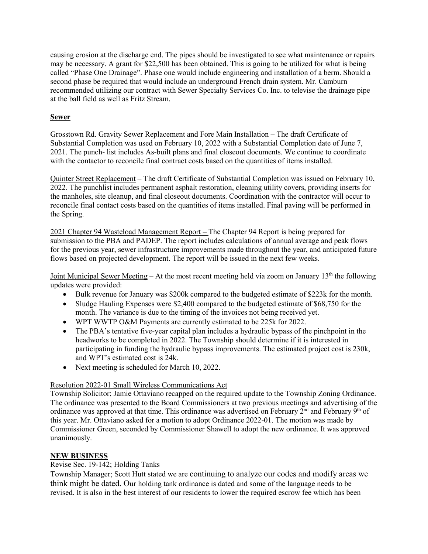causing erosion at the discharge end. The pipes should be investigated to see what maintenance or repairs may be necessary. A grant for \$22,500 has been obtained. This is going to be utilized for what is being called "Phase One Drainage". Phase one would include engineering and installation of a berm. Should a second phase be required that would include an underground French drain system. Mr. Camburn recommended utilizing our contract with Sewer Specialty Services Co. Inc. to televise the drainage pipe at the ball field as well as Fritz Stream.

## **Sewer**

Grosstown Rd. Gravity Sewer Replacement and Fore Main Installation – The draft Certificate of Substantial Completion was used on February 10, 2022 with a Substantial Completion date of June 7, 2021. The punch- list includes As-built plans and final closeout documents. We continue to coordinate with the contactor to reconcile final contract costs based on the quantities of items installed.

Quinter Street Replacement – The draft Certificate of Substantial Completion was issued on February 10, 2022. The punchlist includes permanent asphalt restoration, cleaning utility covers, providing inserts for the manholes, site cleanup, and final closeout documents. Coordination with the contractor will occur to reconcile final contact costs based on the quantities of items installed. Final paving will be performed in the Spring.

2021 Chapter 94 Wasteload Management Report – The Chapter 94 Report is being prepared for submission to the PBA and PADEP. The report includes calculations of annual average and peak flows for the previous year, sewer infrastructure improvements made throughout the year, and anticipated future flows based on projected development. The report will be issued in the next few weeks.

Joint Municipal Sewer Meeting – At the most recent meeting held via zoom on January  $13<sup>th</sup>$  the following updates were provided:

- Bulk revenue for January was \$200k compared to the budgeted estimate of \$223k for the month.
- Sludge Hauling Expenses were \$2,400 compared to the budgeted estimate of \$68,750 for the month. The variance is due to the timing of the invoices not being received yet.
- WPT WWTP O&M Payments are currently estimated to be 225k for 2022.
- The PBA's tentative five-year capital plan includes a hydraulic bypass of the pinchpoint in the headworks to be completed in 2022. The Township should determine if it is interested in participating in funding the hydraulic bypass improvements. The estimated project cost is 230k, and WPT's estimated cost is 24k.
- Next meeting is scheduled for March 10, 2022.

## Resolution 2022-01 Small Wireless Communications Act

Township Solicitor; Jamie Ottaviano recapped on the required update to the Township Zoning Ordinance. The ordinance was presented to the Board Commissioners at two previous meetings and advertising of the ordinance was approved at that time. This ordinance was advertised on February  $2<sup>nd</sup>$  and February 9<sup>th</sup> of this year. Mr. Ottaviano asked for a motion to adopt Ordinance 2022-01. The motion was made by Commissioner Green, seconded by Commissioner Shawell to adopt the new ordinance. It was approved unanimously.

## **NEW BUSINESS**

## Revise Sec. 19-142; Holding Tanks

Township Manager; Scott Hutt stated we are continuing to analyze our codes and modify areas we think might be dated. Our holding tank ordinance is dated and some of the language needs to be revised. It is also in the best interest of our residents to lower the required escrow fee which has been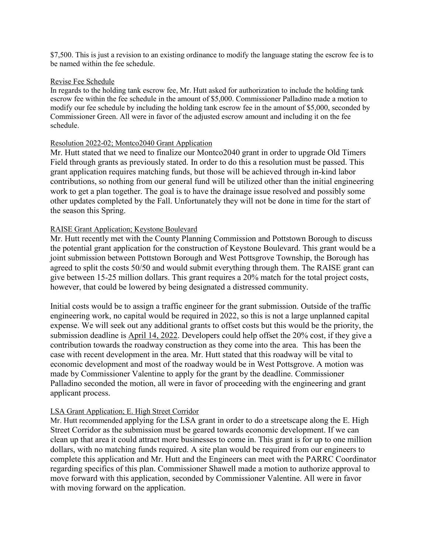\$7,500. This is just a revision to an existing ordinance to modify the language stating the escrow fee is to be named within the fee schedule.

#### Revise Fee Schedule

In regards to the holding tank escrow fee, Mr. Hutt asked for authorization to include the holding tank escrow fee within the fee schedule in the amount of \$5,000. Commissioner Palladino made a motion to modify our fee schedule by including the holding tank escrow fee in the amount of \$5,000, seconded by Commissioner Green. All were in favor of the adjusted escrow amount and including it on the fee schedule.

#### Resolution 2022-02; Montco2040 Grant Application

Mr. Hutt stated that we need to finalize our Montco2040 grant in order to upgrade Old Timers Field through grants as previously stated. In order to do this a resolution must be passed. This grant application requires matching funds, but those will be achieved through in-kind labor contributions, so nothing from our general fund will be utilized other than the initial engineering work to get a plan together. The goal is to have the drainage issue resolved and possibly some other updates completed by the Fall. Unfortunately they will not be done in time for the start of the season this Spring.

### RAISE Grant Application; Keystone Boulevard

Mr. Hutt recently met with the County Planning Commission and Pottstown Borough to discuss the potential grant application for the construction of Keystone Boulevard. This grant would be a joint submission between Pottstown Borough and West Pottsgrove Township, the Borough has agreed to split the costs 50/50 and would submit everything through them. The RAISE grant can give between 15-25 million dollars. This grant requires a 20% match for the total project costs, however, that could be lowered by being designated a distressed community.

Initial costs would be to assign a traffic engineer for the grant submission. Outside of the traffic engineering work, no capital would be required in 2022, so this is not a large unplanned capital expense. We will seek out any additional grants to offset costs but this would be the priority, the submission deadline is April 14, 2022. Developers could help offset the 20% cost, if they give a contribution towards the roadway construction as they come into the area. This has been the case with recent development in the area. Mr. Hutt stated that this roadway will be vital to economic development and most of the roadway would be in West Pottsgrove. A motion was made by Commissioner Valentine to apply for the grant by the deadline. Commissioner Palladino seconded the motion, all were in favor of proceeding with the engineering and grant applicant process.

#### LSA Grant Application; E. High Street Corridor

Mr. Hutt recommended applying for the LSA grant in order to do a streetscape along the E. High Street Corridor as the submission must be geared towards economic development. If we can clean up that area it could attract more businesses to come in. This grant is for up to one million dollars, with no matching funds required. A site plan would be required from our engineers to complete this application and Mr. Hutt and the Engineers can meet with the PARRC Coordinator regarding specifics of this plan. Commissioner Shawell made a motion to authorize approval to move forward with this application, seconded by Commissioner Valentine. All were in favor with moving forward on the application.